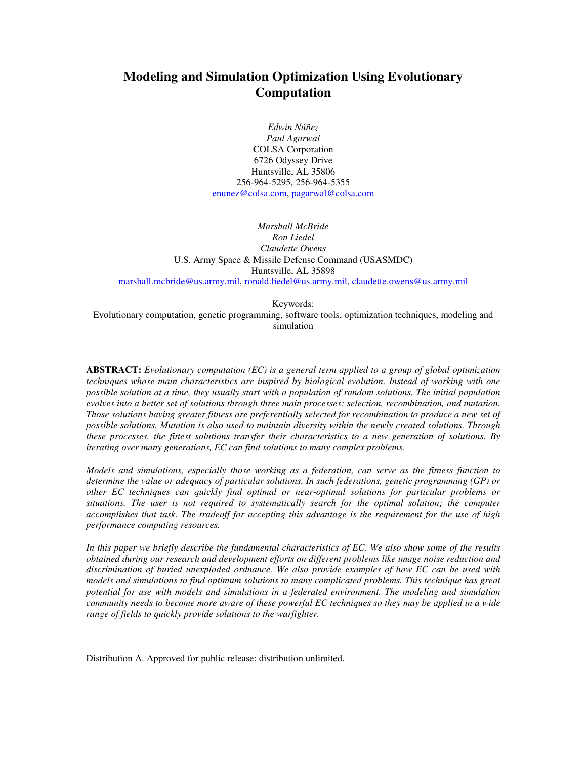# **Modeling and Simulation Optimization Using Evolutionary Computation**

*Edwin Núñez Paul Agarwal* COLSA Corporation 6726 Odyssey Drive Huntsville, AL 35806 256-964-5295, 256-964-5355 enunez@colsa.com, pagarwal@colsa.com

*Marshall McBride Ron Liedel Claudette Owens* U.S. Army Space & Missile Defense Command (USASMDC) Huntsville, AL 35898 marshall.mcbride@us.army.mil, ronald.liedel@us.army.mil, claudette.owens@us.army.mil

Keywords:

Evolutionary computation, genetic programming, software tools, optimization techniques, modeling and simulation

**ABSTRACT:** *Evolutionary computation (EC) is a general term applied to a group of global optimization techniques whose main characteristics are inspired by biological evolution. Instead of working with one* possible solution at a time, they usually start with a population of random solutions. The initial population *evolves into a better set of solutions through three main processes: selection, recombination, and mutation. Those solutions having greater fitness are preferentially selected for recombination to produce a new set of possible solutions. Mutation is also used to maintain diversity within the newly created solutions. Through these processes, the fittest solutions transfer their characteristics to a new generation of solutions. By iterating over many generations, EC can find solutions to many complex problems.*

*Models and simulations, especially those working as a federation, can serve as the fitness function to determine the value or adequacy of particular solutions. In such federations, genetic programming (GP) or other EC techniques can quickly find optimal or near-optimal solutions for particular problems or situations. The user is not required to systematically search for the optimal solution; the computer accomplishes that task. The tradeoff for accepting this advantage is the requirement for the use of high performance computing resources.*

In this paper we briefly describe the fundamental characteristics of EC. We also show some of the results *obtained during our research and development efforts on different problems like image noise reduction and discrimination of buried unexploded ordnance. We also provide examples of how EC can be used with models and simulations to find optimum solutions to many complicated problems. This technique has great potential for use with models and simulations in a federated environment. The modeling and simulation* community needs to become more aware of these powerful EC techniques so they may be applied in a wide *range of fields to quickly provide solutions to the warfighter.*

Distribution A. Approved for public release; distribution unlimited.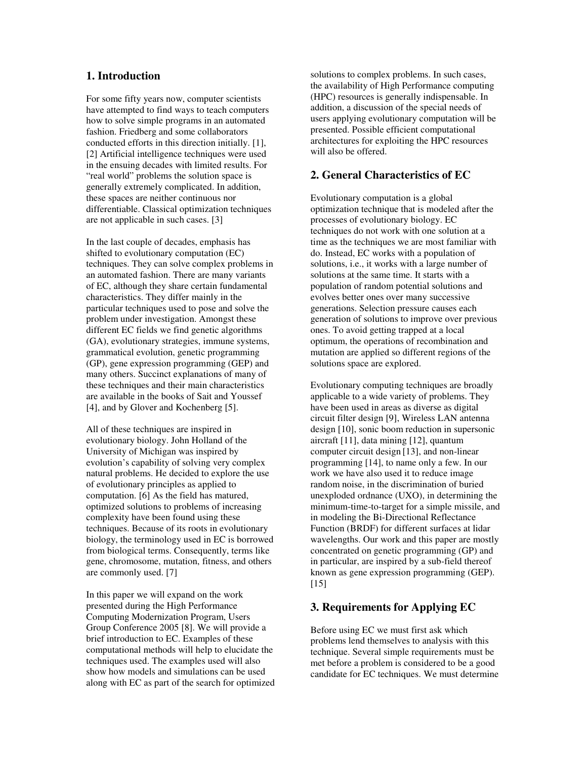### **1. Introduction**

For some fifty years now, computer scientists have attempted to find ways to teach computers how to solve simple programs in an automated fashion. Friedberg and some collaborators conducted efforts in this direction initially. [1], [2] Artificial intelligence techniques were used in the ensuing decades with limited results. For "real world" problems the solution space is generally extremely complicated. In addition, these spaces are neither continuous nor differentiable. Classical optimization techniques are not applicable in such cases. [3]

In the last couple of decades, emphasis has shifted to evolutionary computation (EC) techniques. They can solve complex problems in an automated fashion. There are many variants of EC, although they share certain fundamental characteristics. They differ mainly in the particular techniques used to pose and solve the problem under investigation. Amongst these different EC fields we find genetic algorithms (GA), evolutionary strategies, immune systems, grammatical evolution, genetic programming (GP), gene expression programming (GEP) and many others. Succinct explanations of many of these techniques and their main characteristics are available in the books of Sait and Youssef [4], and by Glover and Kochenberg [5].

All of these techniques are inspired in evolutionary biology. John Holland of the University of Michigan was inspired by evolution's capability of solving very complex natural problems. He decided to explore the use of evolutionary principles as applied to computation. [6] As the field has matured, optimized solutions to problems of increasing complexity have been found using these techniques. Because of its roots in evolutionary biology, the terminology used in EC is borrowed from biological terms. Consequently, terms like gene, chromosome, mutation, fitness, and others are commonly used. [7]

In this paper we will expand on the work presented during the High Performance Computing Modernization Program, Users Group Conference 2005 [8]. We will provide a brief introduction to EC. Examples of these computational methods will help to elucidate the techniques used. The examples used will also show how models and simulations can be used along with EC as part of the search for optimized

solutions to complex problems. In such cases, the availability of High Performance computing (HPC) resources is generally indispensable. In addition, a discussion of the special needs of users applying evolutionary computation will be presented. Possible efficient computational architectures for exploiting the HPC resources will also be offered.

### **2. General Characteristics of EC**

Evolutionary computation is a global optimization technique that is modeled after the processes of evolutionary biology. EC techniques do not work with one solution at a time as the techniques we are most familiar with do. Instead, EC works with a population of solutions, i.e., it works with a large number of solutions at the same time. It starts with a population of random potential solutions and evolves better ones over many successive generations. Selection pressure causes each generation of solutions to improve over previous ones. To avoid getting trapped at a local optimum, the operations of recombination and mutation are applied so different regions of the solutions space are explored.

Evolutionary computing techniques are broadly applicable to a wide variety of problems. They have been used in areas as diverse as digital circuit filter design [9], Wireless LAN antenna design [10], sonic boom reduction in supersonic aircraft [11], data mining [12], quantum computer circuit design [13], and non-linear programming [14], to name only a few. In our work we have also used it to reduce image random noise, in the discrimination of buried unexploded ordnance (UXO), in determining the minimum-time-to-target for a simple missile, and in modeling the Bi-Directional Reflectance Function (BRDF) for different surfaces at lidar wavelengths. Our work and this paper are mostly concentrated on genetic programming (GP) and in particular, are inspired by a sub-field thereof known as gene expression programming (GEP). [15]

# **3. Requirements for Applying EC**

Before using EC we must first ask which problems lend themselves to analysis with this technique. Several simple requirements must be met before a problem is considered to be a good candidate for EC techniques. We must determine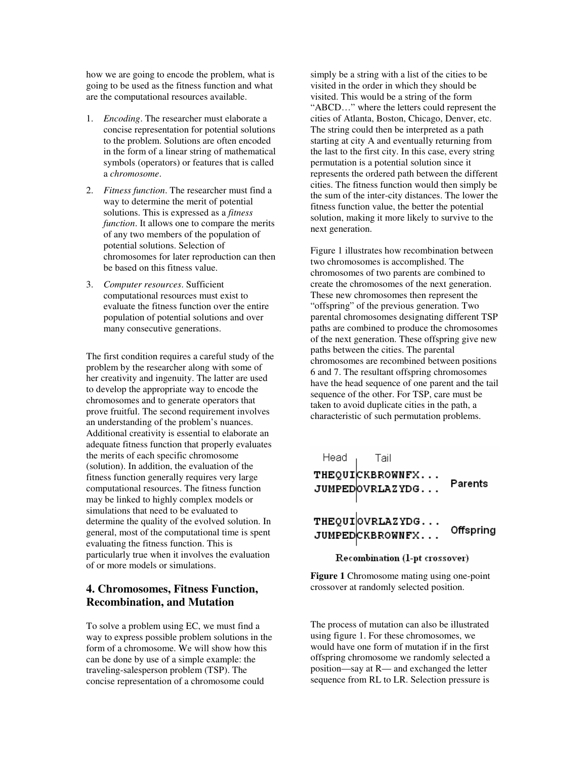how we are going to encode the problem, what is going to be used as the fitness function and what are the computational resources available.

- 1. *Encoding*. The researcher must elaborate a concise representation for potential solutions to the problem. Solutions are often encoded in the form of a linear string of mathematical symbols (operators) or features that is called a *chromosome*.
- 2. *Fitness function*. The researcher must find a way to determine the merit of potential solutions. This is expressed as a *fitness function*. It allows one to compare the merits of any two members of the population of potential solutions. Selection of chromosomes for later reproduction can then be based on this fitness value.
- 3. *Computer resources*. Sufficient computational resources must exist to evaluate the fitness function over the entire population of potential solutions and over many consecutive generations.

The first condition requires a careful study of the problem by the researcher along with some of her creativity and ingenuity. The latter are used to develop the appropriate way to encode the chromosomes and to generate operators that prove fruitful. The second requirement involves an understanding of the problem's nuances. Additional creativity is essential to elaborate an adequate fitness function that properly evaluates the merits of each specific chromosome (solution). In addition, the evaluation of the fitness function generally requires very large computational resources. The fitness function may be linked to highly complex models or simulations that need to be evaluated to determine the quality of the evolved solution. In general, most of the computational time is spent evaluating the fitness function. This is particularly true when it involves the evaluation of or more models or simulations.

### **4. Chromosomes, Fitness Function, Recombination, and Mutation**

To solve a problem using EC, we must find a way to express possible problem solutions in the form of a chromosome. We will show how this can be done by use of a simple example: the traveling-salesperson problem (TSP). The concise representation of a chromosome could

simply be a string with a list of the cities to be visited in the order in which they should be visited. This would be a string of the form "ABCD…" where the letters could represent the cities of Atlanta, Boston, Chicago, Denver, etc. The string could then be interpreted as a path starting at city A and eventually returning from the last to the first city. In this case, every string permutation is a potential solution since it represents the ordered path between the different cities. The fitness function would then simply be the sum of the inter-city distances. The lower the fitness function value, the better the potential solution, making it more likely to survive to the next generation.

Figure 1 illustrates how recombination between two chromosomes is accomplished. The chromosomes of two parents are combined to create the chromosomes of the next generation. These new chromosomes then represent the "offspring" of the previous generation. Two parental chromosomes designating different TSP paths are combined to produce the chromosomes of the next generation. These offspring give new paths between the cities. The parental chromosomes are recombined between positions 6 and 7. The resultant offspring chromosomes have the head sequence of one parent and the tail sequence of the other. For TSP, care must be taken to avoid duplicate cities in the path, a characteristic of such permutation problems.



### Recombination (1-pt crossover)

**Figure 1** Chromosome mating using one-point crossover at randomly selected position.

The process of mutation can also be illustrated using figure 1. For these chromosomes, we would have one form of mutation if in the first offspring chromosome we randomly selected a position—say at R— and exchanged the letter sequence from RL to LR. Selection pressure is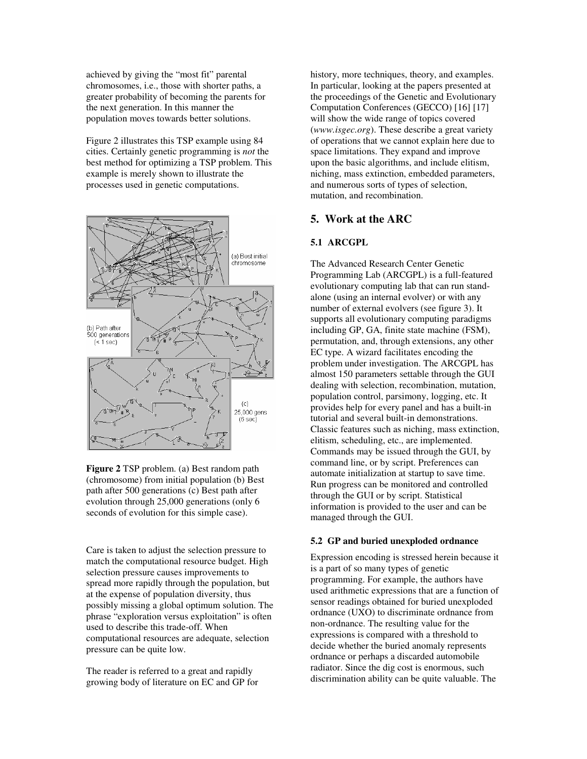achieved by giving the "most fit" parental chromosomes, i.e., those with shorter paths, a greater probability of becoming the parents for the next generation. In this manner the population moves towards better solutions.

Figure 2 illustrates this TSP example using 84 cities. Certainly genetic programming is *not* the best method for optimizing a TSP problem. This example is merely shown to illustrate the processes used in genetic computations.



**Figure 2** TSP problem. (a) Best random path (chromosome) from initial population (b) Best path after 500 generations (c) Best path after evolution through 25,000 generations (only 6 seconds of evolution for this simple case).

Care is taken to adjust the selection pressure to match the computational resource budget. High selection pressure causes improvements to spread more rapidly through the population, but at the expense of population diversity, thus possibly missing a global optimum solution. The phrase "exploration versus exploitation" is often used to describe this trade-off. When computational resources are adequate, selection pressure can be quite low.

The reader is referred to a great and rapidly growing body of literature on EC and GP for

history, more techniques, theory, and examples. In particular, looking at the papers presented at the proceedings of the Genetic and Evolutionary Computation Conferences (GECCO) [16] [17] will show the wide range of topics covered (*www.isgec.org*). These describe a great variety of operations that we cannot explain here due to space limitations. They expand and improve upon the basic algorithms, and include elitism, niching, mass extinction, embedded parameters, and numerous sorts of types of selection, mutation, and recombination.

### **5. Work at the ARC**

#### **5.1 ARCGPL**

The Advanced Research Center Genetic Programming Lab (ARCGPL) is a full-featured evolutionary computing lab that can run standalone (using an internal evolver) or with any number of external evolvers (see figure 3). It supports all evolutionary computing paradigms including GP, GA, finite state machine (FSM), permutation, and, through extensions, any other EC type. A wizard facilitates encoding the problem under investigation. The ARCGPL has almost 150 parameters settable through the GUI dealing with selection, recombination, mutation, population control, parsimony, logging, etc. It provides help for every panel and has a built-in tutorial and several built-in demonstrations. Classic features such as niching, mass extinction, elitism, scheduling, etc., are implemented. Commands may be issued through the GUI, by command line, or by script. Preferences can automate initialization at startup to save time. Run progress can be monitored and controlled through the GUI or by script. Statistical information is provided to the user and can be managed through the GUI.

#### **5.2 GP and buried unexploded ordnance**

Expression encoding is stressed herein because it is a part of so many types of genetic programming. For example, the authors have used arithmetic expressions that are a function of sensor readings obtained for buried unexploded ordnance (UXO) to discriminate ordnance from non-ordnance. The resulting value for the expressions is compared with a threshold to decide whether the buried anomaly represents ordnance or perhaps a discarded automobile radiator. Since the dig cost is enormous, such discrimination ability can be quite valuable. The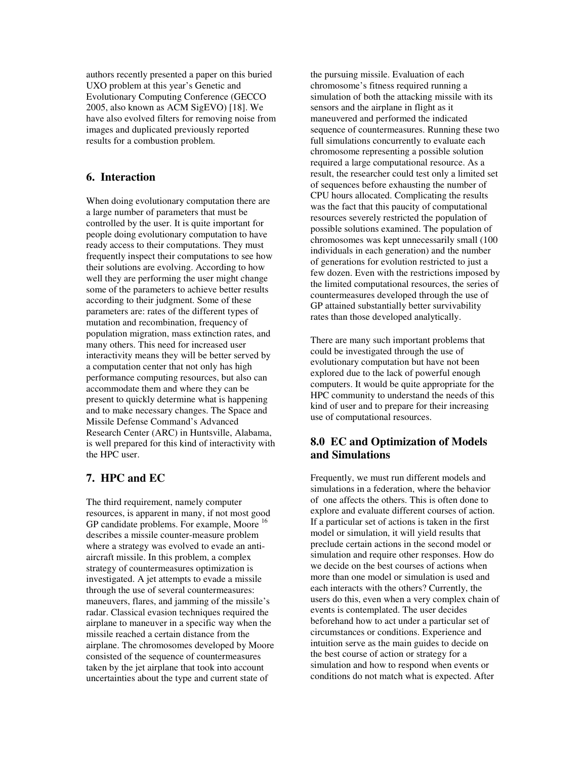authors recently presented a paper on this buried UXO problem at this year's Genetic and Evolutionary Computing Conference (GECCO 2005, also known as ACM SigEVO) [18]. We have also evolved filters for removing noise from images and duplicated previously reported results for a combustion problem.

### **6. Interaction**

When doing evolutionary computation there are a large number of parameters that must be controlled by the user. It is quite important for people doing evolutionary computation to have ready access to their computations. They must frequently inspect their computations to see how their solutions are evolving. According to how well they are performing the user might change some of the parameters to achieve better results according to their judgment. Some of these parameters are: rates of the different types of mutation and recombination, frequency of population migration, mass extinction rates, and many others. This need for increased user interactivity means they will be better served by a computation center that not only has high performance computing resources, but also can accommodate them and where they can be present to quickly determine what is happening and to make necessary changes. The Space and Missile Defense Command's Advanced Research Center (ARC) in Huntsville, Alabama, is well prepared for this kind of interactivity with the HPC user.

# **7. HPC and EC**

The third requirement, namely computer resources, is apparent in many, if not most good GP candidate problems. For example, Moore<sup>16</sup> describes a missile counter-measure problem where a strategy was evolved to evade an antiaircraft missile. In this problem, a complex strategy of countermeasures optimization is investigated. A jet attempts to evade a missile through the use of several countermeasures: maneuvers, flares, and jamming of the missile's radar. Classical evasion techniques required the airplane to maneuver in a specific way when the missile reached a certain distance from the airplane. The chromosomes developed by Moore consisted of the sequence of countermeasures taken by the jet airplane that took into account uncertainties about the type and current state of

the pursuing missile. Evaluation of each chromosome's fitness required running a simulation of both the attacking missile with its sensors and the airplane in flight as it maneuvered and performed the indicated sequence of countermeasures. Running these two full simulations concurrently to evaluate each chromosome representing a possible solution required a large computational resource. As a result, the researcher could test only a limited set of sequences before exhausting the number of CPU hours allocated. Complicating the results was the fact that this paucity of computational resources severely restricted the population of possible solutions examined. The population of chromosomes was kept unnecessarily small (100 individuals in each generation) and the number of generations for evolution restricted to just a few dozen. Even with the restrictions imposed by the limited computational resources, the series of countermeasures developed through the use of GP attained substantially better survivability rates than those developed analytically.

There are many such important problems that could be investigated through the use of evolutionary computation but have not been explored due to the lack of powerful enough computers. It would be quite appropriate for the HPC community to understand the needs of this kind of user and to prepare for their increasing use of computational resources.

# **8.0 EC and Optimization of Models and Simulations**

Frequently, we must run different models and simulations in a federation, where the behavior of one affects the others. This is often done to explore and evaluate different courses of action. If a particular set of actions is taken in the first model or simulation, it will yield results that preclude certain actions in the second model or simulation and require other responses. How do we decide on the best courses of actions when more than one model or simulation is used and each interacts with the others? Currently, the users do this, even when a very complex chain of events is contemplated. The user decides beforehand how to act under a particular set of circumstances or conditions. Experience and intuition serve as the main guides to decide on the best course of action or strategy for a simulation and how to respond when events or conditions do not match what is expected. After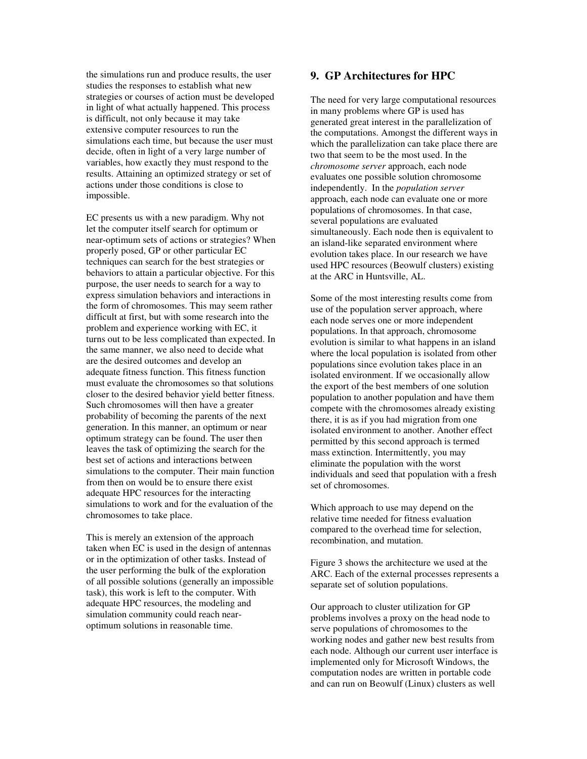the simulations run and produce results, the user studies the responses to establish what new strategies or courses of action must be developed in light of what actually happened. This process is difficult, not only because it may take extensive computer resources to run the simulations each time, but because the user must decide, often in light of a very large number of variables, how exactly they must respond to the results. Attaining an optimized strategy or set of actions under those conditions is close to impossible.

EC presents us with a new paradigm. Why not let the computer itself search for optimum or near-optimum sets of actions or strategies? When properly posed, GP or other particular EC techniques can search for the best strategies or behaviors to attain a particular objective. For this purpose, the user needs to search for a way to express simulation behaviors and interactions in the form of chromosomes. This may seem rather difficult at first, but with some research into the problem and experience working with EC, it turns out to be less complicated than expected. In the same manner, we also need to decide what are the desired outcomes and develop an adequate fitness function. This fitness function must evaluate the chromosomes so that solutions closer to the desired behavior yield better fitness. Such chromosomes will then have a greater probability of becoming the parents of the next generation. In this manner, an optimum or near optimum strategy can be found. The user then leaves the task of optimizing the search for the best set of actions and interactions between simulations to the computer. Their main function from then on would be to ensure there exist adequate HPC resources for the interacting simulations to work and for the evaluation of the chromosomes to take place.

This is merely an extension of the approach taken when EC is used in the design of antennas or in the optimization of other tasks. Instead of the user performing the bulk of the exploration of all possible solutions (generally an impossible task), this work is left to the computer. With adequate HPC resources, the modeling and simulation community could reach nearoptimum solutions in reasonable time.

### **9. GP Architectures for HPC**

The need for very large computational resources in many problems where GP is used has generated great interest in the parallelization of the computations. Amongst the different ways in which the parallelization can take place there are two that seem to be the most used. In the *chromosome server* approach, each node evaluates one possible solution chromosome independently. In the *population server* approach, each node can evaluate one or more populations of chromosomes. In that case, several populations are evaluated simultaneously. Each node then is equivalent to an island-like separated environment where evolution takes place. In our research we have used HPC resources (Beowulf clusters) existing at the ARC in Huntsville, AL.

Some of the most interesting results come from use of the population server approach, where each node serves one or more independent populations. In that approach, chromosome evolution is similar to what happens in an island where the local population is isolated from other populations since evolution takes place in an isolated environment. If we occasionally allow the export of the best members of one solution population to another population and have them compete with the chromosomes already existing there, it is as if you had migration from one isolated environment to another. Another effect permitted by this second approach is termed mass extinction. Intermittently, you may eliminate the population with the worst individuals and seed that population with a fresh set of chromosomes.

Which approach to use may depend on the relative time needed for fitness evaluation compared to the overhead time for selection, recombination, and mutation.

Figure 3 shows the architecture we used at the ARC. Each of the external processes represents a separate set of solution populations.

Our approach to cluster utilization for GP problems involves a proxy on the head node to serve populations of chromosomes to the working nodes and gather new best results from each node. Although our current user interface is implemented only for Microsoft Windows, the computation nodes are written in portable code and can run on Beowulf (Linux) clusters as well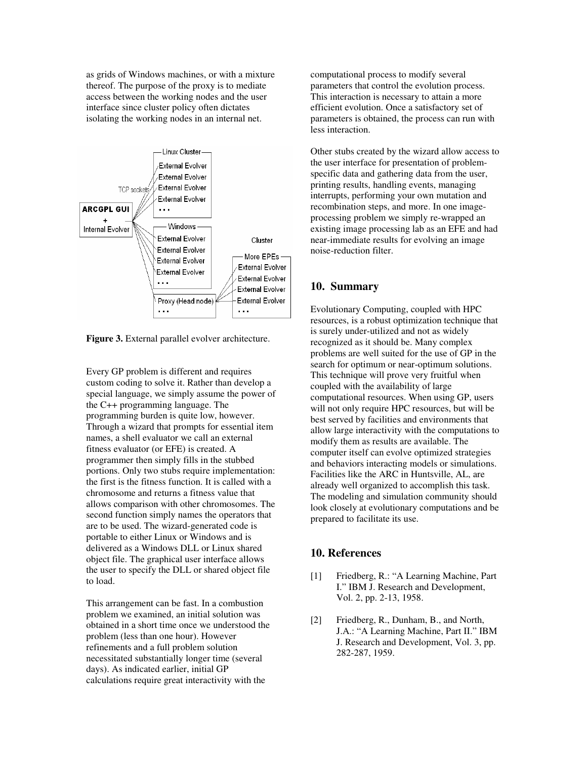as grids of Windows machines, or with a mixture thereof. The purpose of the proxy is to mediate access between the working nodes and the user interface since cluster policy often dictates isolating the working nodes in an internal net.



**Figure 3.** External parallel evolver architecture.

Every GP problem is different and requires custom coding to solve it. Rather than develop a special language, we simply assume the power of the C++ programming language. The programming burden is quite low, however. Through a wizard that prompts for essential item names, a shell evaluator we call an external fitness evaluator (or EFE) is created. A programmer then simply fills in the stubbed portions. Only two stubs require implementation: the first is the fitness function. It is called with a chromosome and returns a fitness value that allows comparison with other chromosomes. The second function simply names the operators that are to be used. The wizard-generated code is portable to either Linux or Windows and is delivered as a Windows DLL or Linux shared object file. The graphical user interface allows the user to specify the DLL or shared object file to load.

This arrangement can be fast. In a combustion problem we examined, an initial solution was obtained in a short time once we understood the problem (less than one hour). However refinements and a full problem solution necessitated substantially longer time (several days). As indicated earlier, initial GP calculations require great interactivity with the

computational process to modify several parameters that control the evolution process. This interaction is necessary to attain a more efficient evolution. Once a satisfactory set of parameters is obtained, the process can run with less interaction.

Other stubs created by the wizard allow access to the user interface for presentation of problemspecific data and gathering data from the user, printing results, handling events, managing interrupts, performing your own mutation and recombination steps, and more. In one imageprocessing problem we simply re-wrapped an existing image processing lab as an EFE and had near-immediate results for evolving an image noise-reduction filter.

#### **10. Summary**

Evolutionary Computing, coupled with HPC resources, is a robust optimization technique that is surely under-utilized and not as widely recognized as it should be. Many complex problems are well suited for the use of GP in the search for optimum or near-optimum solutions. This technique will prove very fruitful when coupled with the availability of large computational resources. When using GP, users will not only require HPC resources, but will be best served by facilities and environments that allow large interactivity with the computations to modify them as results are available. The computer itself can evolve optimized strategies and behaviors interacting models or simulations. Facilities like the ARC in Huntsville, AL, are already well organized to accomplish this task. The modeling and simulation community should look closely at evolutionary computations and be prepared to facilitate its use.

### **10. References**

- [1] Friedberg, R.: "A Learning Machine, Part I." IBM J. Research and Development, Vol. 2, pp. 2-13, 1958.
- [2] Friedberg, R., Dunham, B., and North, J.A.: "A Learning Machine, Part II." IBM J. Research and Development, Vol. 3, pp. 282-287, 1959.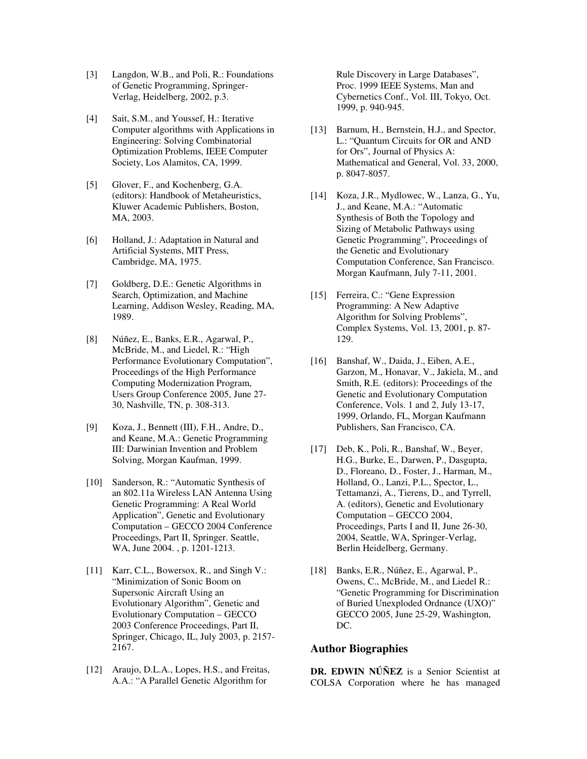- [3] Langdon, W.B., and Poli, R.: Foundations of Genetic Programming, Springer-Verlag, Heidelberg, 2002, p.3.
- [4] Sait, S.M., and Youssef, H.: Iterative Computer algorithms with Applications in Engineering: Solving Combinatorial Optimization Problems, IEEE Computer Society, Los Alamitos, CA, 1999.
- [5] Glover, F., and Kochenberg, G.A. (editors): Handbook of Metaheuristics, Kluwer Academic Publishers, Boston, MA, 2003.
- [6] Holland, J.: Adaptation in Natural and Artificial Systems, MIT Press, Cambridge, MA, 1975.
- [7] Goldberg, D.E.: Genetic Algorithms in Search, Optimization, and Machine Learning, Addison Wesley, Reading, MA, 1989.
- [8] Núñez, E., Banks, E.R., Agarwal, P., McBride, M., and Liedel, R.: "High Performance Evolutionary Computation", Proceedings of the High Performance Computing Modernization Program, Users Group Conference 2005, June 27- 30, Nashville, TN, p. 308-313.
- [9] Koza, J., Bennett (III), F.H., Andre, D., and Keane, M.A.: Genetic Programming III: Darwinian Invention and Problem Solving, Morgan Kaufman, 1999.
- [10] Sanderson, R.: "Automatic Synthesis of an 802.11a Wireless LAN Antenna Using Genetic Programming: A Real World Application", Genetic and Evolutionary Computation – GECCO 2004 Conference Proceedings, Part II, Springer. Seattle, WA, June 2004. , p. 1201-1213.
- [11] Karr, C.L., Bowersox, R., and Singh V.: "Minimization of Sonic Boom on Supersonic Aircraft Using an Evolutionary Algorithm", Genetic and Evolutionary Computation – GECCO 2003 Conference Proceedings, Part II, Springer, Chicago, IL, July 2003, p. 2157- 2167.
- [12] Araujo, D.L.A., Lopes, H.S., and Freitas, A.A.: "A Parallel Genetic Algorithm for

Rule Discovery in Large Databases", Proc. 1999 IEEE Systems, Man and Cybernetics Conf., Vol. III, Tokyo, Oct. 1999, p. 940-945.

- [13] Barnum, H., Bernstein, H.J., and Spector, L.: "Quantum Circuits for OR and AND for Ors", Journal of Physics A: Mathematical and General, Vol. 33, 2000, p. 8047-8057.
- [14] Koza, J.R., Mydlowec, W., Lanza, G., Yu, J., and Keane, M.A.: "Automatic Synthesis of Both the Topology and Sizing of Metabolic Pathways using Genetic Programming", Proceedings of the Genetic and Evolutionary Computation Conference, San Francisco. Morgan Kaufmann, July 7-11, 2001.
- [15] Ferreira, C.: "Gene Expression Programming: A New Adaptive Algorithm for Solving Problems", Complex Systems, Vol. 13, 2001, p. 87- 129.
- [16] Banshaf, W., Daida, J., Eiben, A.E., Garzon, M., Honavar, V., Jakiela, M., and Smith, R.E. (editors): Proceedings of the Genetic and Evolutionary Computation Conference, Vols. 1 and 2, July 13-17, 1999, Orlando, FL, Morgan Kaufmann Publishers, San Francisco, CA.
- [17] Deb, K., Poli, R., Banshaf, W., Beyer, H.G., Burke, E., Darwen, P., Dasgupta, D., Floreano, D., Foster, J., Harman, M., Holland, O., Lanzi, P.L., Spector, L., Tettamanzi, A., Tierens, D., and Tyrrell, A. (editors), Genetic and Evolutionary Computation – GECCO 2004, Proceedings, Parts I and II, June 26-30, 2004, Seattle, WA, Springer-Verlag, Berlin Heidelberg, Germany.
- [18] Banks, E.R., Núñez, E., Agarwal, P., Owens, C., McBride, M., and Liedel R.: "Genetic Programming for Discrimination of Buried Unexploded Ordnance (UXO)" GECCO 2005, June 25-29, Washington, DC.

### **Author Biographies**

**DR. EDWIN NÚÑEZ** is a Senior Scientist at COLSA Corporation where he has managed